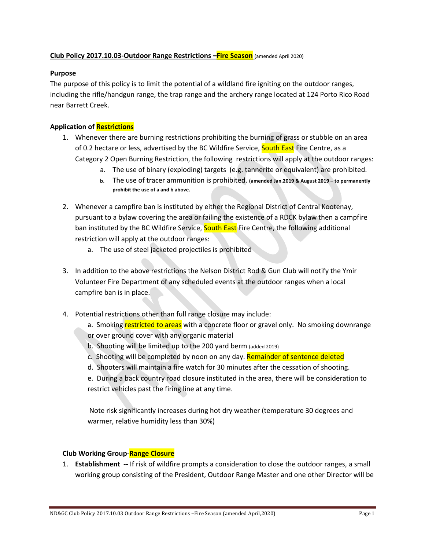# **Club Policy 2017.10.03-Outdoor Range Restrictions –Fire Season** (amended April 2020)

# **Purpose**

The purpose of this policy is to limit the potential of a wildland fire igniting on the outdoor ranges, including the rifle/handgun range, the trap range and the archery range located at 124 Porto Rico Road near Barrett Creek.

# **Application of Restrictions**

- 1. Whenever there are burning restrictions prohibiting the burning of grass or stubble on an area of 0.2 hectare or less, advertised by the BC Wildfire Service, South East Fire Centre, as a Category 2 Open Burning Restriction, the following restrictions will apply at the outdoor ranges:
	- a. The use of binary (exploding) targets (e.g. tannerite or equivalent) are prohibited.
	- **b.** The use of tracer ammunition is prohibited. **(amended Jan.2019 & August 2019 – to permanently prohibit the use of a and b above.**
- 2. Whenever a campfire ban is instituted by either the Regional District of Central Kootenay, pursuant to a bylaw covering the area or failing the existence of a RDCK bylaw then a campfire ban instituted by the BC Wildfire Service, South East Fire Centre, the following additional restriction will apply at the outdoor ranges:
	- a. The use of steel jacketed projectiles is prohibited
- 3. In addition to the above restrictions the Nelson District Rod & Gun Club will notify the Ymir Volunteer Fire Department of any scheduled events at the outdoor ranges when a local campfire ban is in place.
- 4. Potential restrictions other than full range closure may include:
	- a. Smoking restricted to areas with a concrete floor or gravel only. No smoking downrange or over ground cover with any organic material
	- b. Shooting will be limited up to the 200 yard berm (added 2019)
	- c. Shooting will be completed by noon on any day. Remainder of sentence deleted
	- d. Shooters will maintain a fire watch for 30 minutes after the cessation of shooting.
	- e. During a back country road closure instituted in the area, there will be consideration to restrict vehicles past the firing line at any time.

Note risk significantly increases during hot dry weather (temperature 30 degrees and warmer, relative humidity less than 30%)

# **Club Working Group-Range Closure**

1. **Establishment --** If risk of wildfire prompts a consideration to close the outdoor ranges, a small working group consisting of the President, Outdoor Range Master and one other Director will be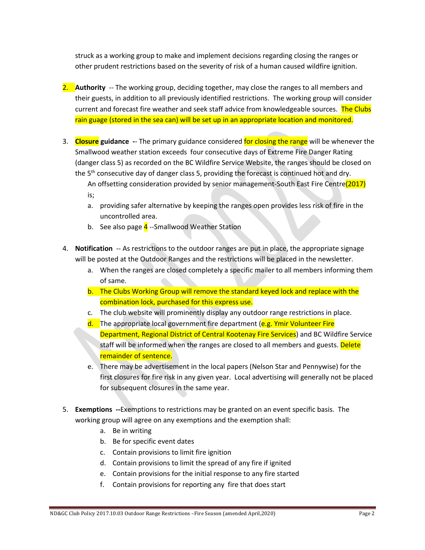struck as a working group to make and implement decisions regarding closing the ranges or other prudent restrictions based on the severity of risk of a human caused wildfire ignition.

- 2. **Authority** -- The working group, deciding together, may close the ranges to all members and their guests, in addition to all previously identified restrictions. The working group will consider current and forecast fire weather and seek staff advice from knowledgeable sources. The Clubs rain guage (stored in the sea can) will be set up in an appropriate location and monitored.
- 3. **Closure guidance -** The primary guidance considered for closing the range will be whenever the Smallwood weather station exceeds four consecutive days of Extreme Fire Danger Rating (danger class 5) as recorded on the BC Wildfire Service Website, the ranges should be closed on the  $5<sup>th</sup>$  consecutive day of danger class 5, providing the forecast is continued hot and dry. An offsetting consideration provided by senior management-South East Fire Centre(2017)
	- is;
	- a. providing safer alternative by keeping the ranges open provides less risk of fire in the uncontrolled area.
	- b. See also page  $\frac{4}{1}$ --Smallwood Weather Station
- 4. **Notification** -- As restrictions to the outdoor ranges are put in place, the appropriate signage will be posted at the Outdoor Ranges and the restrictions will be placed in the newsletter.
	- a. When the ranges are closed completely a specific mailer to all members informing them of same.
	- b. The Clubs Working Group will remove the standard keyed lock and replace with the combination lock, purchased for this express use.
	- c. The club website will prominently display any outdoor range restrictions in place.
	- d. The appropriate local government fire department (e.g. Ymir Volunteer Fire Department, Regional District of Central Kootenay Fire Services) and BC Wildfire Service staff will be informed when the ranges are closed to all members and guests. Delete remainder of sentence.
	- e. There may be advertisement in the local papers (Nelson Star and Pennywise) for the first closures for fire risk in any given year. Local advertising will generally not be placed for subsequent closures in the same year.
- 5. **Exemptions --**Exemptions to restrictions may be granted on an event specific basis. The working group will agree on any exemptions and the exemption shall:
	- a. Be in writing
	- b. Be for specific event dates
	- c. Contain provisions to limit fire ignition
	- d. Contain provisions to limit the spread of any fire if ignited
	- e. Contain provisions for the initial response to any fire started
	- f. Contain provisions for reporting any fire that does start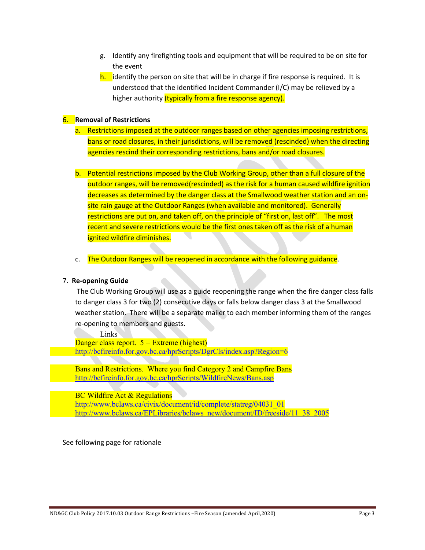- g. Identify any firefighting tools and equipment that will be required to be on site for the event
- $h.$  identify the person on site that will be in charge if fire response is required. It is understood that the identified Incident Commander (I/C) may be relieved by a higher authority (typically from a fire response agency).

# 6. **Removal of Restrictions**

- a. Restrictions imposed at the outdoor ranges based on other agencies imposing restrictions, bans or road closures, in their jurisdictions, will be removed (rescinded) when the directing agencies rescind their corresponding restrictions, bans and/or road closures.
- b. Potential restrictions imposed by the Club Working Group, other than a full closure of the outdoor ranges, will be removed(rescinded) as the risk for a human caused wildfire ignition decreases as determined by the danger class at the Smallwood weather station and an onsite rain gauge at the Outdoor Ranges (when available and monitored). Generally restrictions are put on, and taken off, on the principle of "first on, last off". The most recent and severe restrictions would be the first ones taken off as the risk of a human ignited wildfire diminishes.
- c. The Outdoor Ranges will be reopened in accordance with the following guidance.

### 7. **Re-opening Guide**

The Club Working Group will use as a guide reopening the range when the fire danger class falls to danger class 3 for two (2) consecutive days or falls below danger class 3 at the Smallwood weather station. There will be a separate mailer to each member informing them of the ranges re-opening to members and guests.

Links

Danger class report.  $5 =$  Extreme (highest) http://bcfireinfo.for.gov.bc.ca/hprScripts/DgrCls/index.asp?Region=6

Bans and Restrictions. Where you find Category 2 and Campfire Bans http://bcfireinfo.for.gov.bc.ca/hprScripts/WildfireNews/Bans.asp

BC Wildfire Act & Regulations http://www.bclaws.ca/civix/document/id/complete/statreg/04031\_01 http://www.bclaws.ca/EPLibraries/bclaws\_new/document/ID/freeside/11\_38\_2005

See following page for rationale